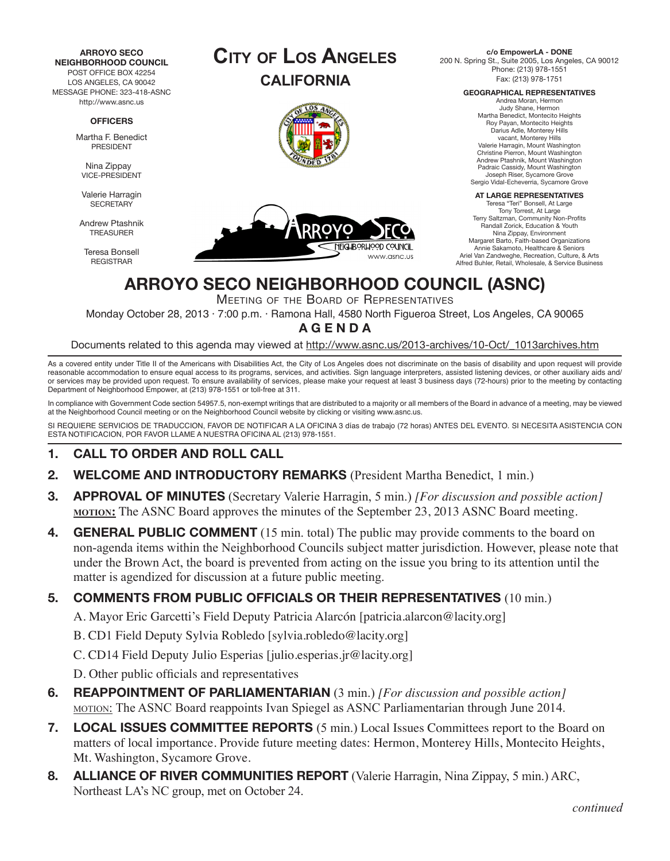

**c/o EmpowerLA - DONE** 200 N. Spring St., Suite 2005, Los Angeles, CA 90012 Phone: (213) 978-1551 Fax: (213) 978-1751

**GEOGRAPHICAL REPRESENTATIVES**

Andrea Moran, Hermon Judy Shane, Hermon Martha Benedict, Montecito Heights Roy Payan, Montecito Heights Darius Adle, Monterey Hills vacant, Monterey Hills Valerie Harragin, Mount Washington Christine Pierron, Mount Washington Andrew Ptashnik, Mount Washington Padraic Cassidy, Mount Washington Joseph Riser, Sycamore Grove Sergio Vidal-Echeverria, Sycamore Grove

#### **AT LARGE REPRESENTATIVES**

Teresa "Teri" Bonsell, At Large Tony Torrest, At Large Terry Saltzman, Community Non-Profits Randall Zorick, Education & Youth Nina Zippay, Environment Margaret Barto, Faith-based Organizations Annie Sakamoto, Healthcare & Seniors Ariel Van Zandweghe, Recreation, Culture, & Arts Alfred Buhler, Retail, Wholesale, & Service Business

# **ARROYO SECO NEIGHBORHOOD COUNCIL (ASNC)**

Meeting of the Board of Representatives

Monday October 28, 2013 · 7:00 p.m. · Ramona Hall, 4580 North Figueroa Street, Los Angeles, CA 90065

**A G E N D A**

Documents related to this agenda may viewed at http://www.asnc.us/2013-archives/10-Oct/\_1013archives.htm

As a covered entity under Title II of the Americans with Disabilities Act, the City of Los Angeles does not discriminate on the basis of disability and upon request will provide reasonable accommodation to ensure equal access to its programs, services, and activities. Sign language interpreters, assisted listening devices, or other auxiliary aids and/ or services may be provided upon request. To ensure availability of services, please make your request at least 3 business days (72-hours) prior to the meeting by contacting Department of Neighborhood Empower, at (213) 978-1551 or toll-free at 311.

In compliance with Government Code section 54957.5, non-exempt writings that are distributed to a majority or all members of the Board in advance of a meeting, may be viewed at the Neighborhood Council meeting or on the Neighborhood Council website by clicking or visiting www.asnc.us.

SI REQUIERE SERVICIOS DE TRADUCCION, FAVOR DE NOTIFICAR A LA OFICINA 3 días de trabajo (72 horas) ANTES DEL EVENTO. SI NECESITA ASISTENCIA CON ESTA NOTIFICACION, POR FAVOR LLAME A NUESTRA OFICINA AL (213) 978-1551.

### **1. CALL TO ORDER AND ROLL CALL**

- **2. WELCOME AND INTRODUCTORY REMARKS** (President Martha Benedict, 1 min.)
- **3. APPROVAL OF MINUTES** (Secretary Valerie Harragin, 5 min.) *[For discussion and possible action]*  **motion:** The ASNC Board approves the minutes of the September 23, 2013 ASNC Board meeting.
- **4. GENERAL PUBLIC COMMENT** (15 min. total) The public may provide comments to the board on non-agenda items within the Neighborhood Councils subject matter jurisdiction. However, please note that under the Brown Act, the board is prevented from acting on the issue you bring to its attention until the matter is agendized for discussion at a future public meeting.

### **5. COMMENTS FROM PUBLIC OFFICIALS OR THEIR REPRESENTATIVES** (10 min.)

A. Mayor Eric Garcetti's Field Deputy Patricia Alarcón [patricia.alarcon@lacity.org]

B. CD1 Field Deputy Sylvia Robledo [sylvia.robledo@lacity.org]

C. CD14 Field Deputy Julio Esperias [julio.esperias.jr@lacity.org]

D. Other public officials and representatives

- **6. REAPPOINTMENT OF PARLIAMENTARIAN** (3 min.) *[For discussion and possible action]* motion: The ASNC Board reappoints Ivan Spiegel as ASNC Parliamentarian through June 2014.
- **7. LOCAL ISSUES COMMITTEE REPORTS** (5 min.) Local Issues Committees report to the Board on matters of local importance. Provide future meeting dates: Hermon, Monterey Hills, Montecito Heights, Mt. Washington, Sycamore Grove.
- **8. ALLIANCE OF RIVER COMMUNITIES REPORT** (Valerie Harragin, Nina Zippay, 5 min.) ARC, Northeast LA's NC group, met on October 24.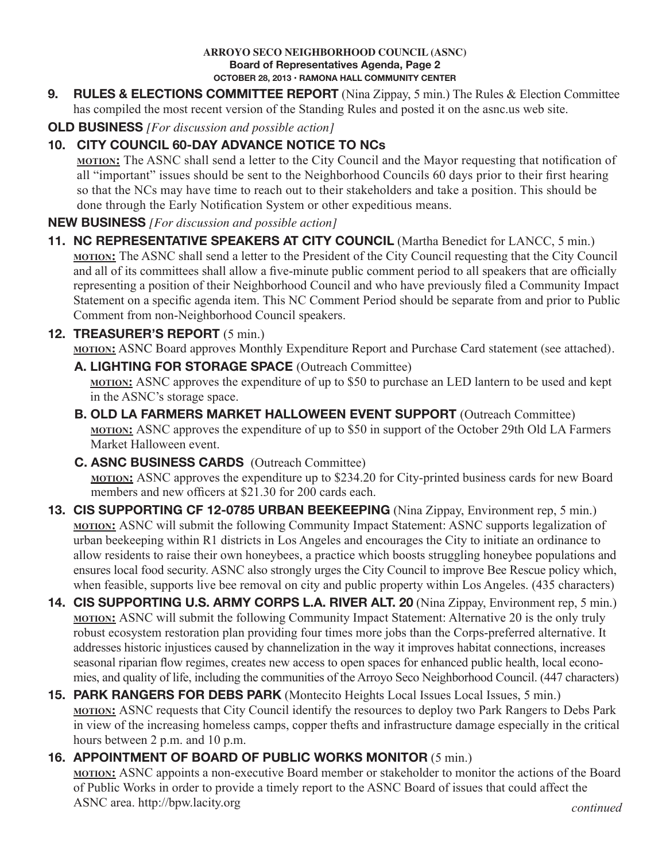#### **ARROYO SECO NEIGHBORHOOD COUNCIL (ASNC) Board of Representatives Agenda, Page 2 OCTOBER 28, 2013 • RAMONA HALL COMMUNITY CENTER**

**9. RULES & ELECTIONS COMMITTEE REPORT** (Nina Zippay, 5 min.) The Rules & Election Committee has compiled the most recent version of the Standing Rules and posted it on the asnc.us web site.

## **OLD BUSINESS** *[For discussion and possible action]*

# **10. CITY COUNCIL 60-DAY ADVANCE NOTICE TO NCs**

**motion:** The ASNC shall send a letter to the City Council and the Mayor requesting that notification of all "important" issues should be sent to the Neighborhood Councils 60 days prior to their first hearing so that the NCs may have time to reach out to their stakeholders and take a position. This should be done through the Early Notification System or other expeditious means.

## **NEW BUSINESS** *[For discussion and possible action]*

**11. NC REPRESENTATIVE SPEAKERS AT CITY COUNCIL** (Martha Benedict for LANCC, 5 min.) **motion:** The ASNC shall send a letter to the President of the City Council requesting that the City Council and all of its committees shall allow a five-minute public comment period to all speakers that are officially representing a position of their Neighborhood Council and who have previously filed a Community Impact Statement on a specific agenda item. This NC Comment Period should be separate from and prior to Public Comment from non-Neighborhood Council speakers.

## **12. TREASURER'S REPORT** (5 min.)

**MOTION:** ASNC Board approves Monthly Expenditure Report and Purchase Card statement (see attached).

**A. LIGHTING FOR STORAGE SPACE** (Outreach Committee)

**motion:** ASNC approves the expenditure of up to \$50 to purchase an LED lantern to be used and kept in the ASNC's storage space.

- **B. OLD LA FARMERS MARKET HALLOWEEN EVENT SUPPORT** (Outreach Committee) **motion:** ASNC approves the expenditure of up to \$50 in support of the October 29th Old LA Farmers Market Halloween event.
- **C. ASNC BUSINESS CARDS** (Outreach Committee) **motion:** ASNC approves the expenditure up to \$234.20 for City-printed business cards for new Board members and new officers at \$21.30 for 200 cards each.
- **13. CIS SUPPORTING CF 12-0785 URBAN BEEKEEPING** (Nina Zippay, Environment rep, 5 min.) **MOTION:** ASNC will submit the following Community Impact Statement: ASNC supports legalization of urban beekeeping within R1 districts in Los Angeles and encourages the City to initiate an ordinance to allow residents to raise their own honeybees, a practice which boosts struggling honeybee populations and ensures local food security. ASNC also strongly urges the City Council to improve Bee Rescue policy which, when feasible, supports live bee removal on city and public property within Los Angeles. (435 characters)
- **14. CIS SUPPORTING U.S. ARMY CORPS L.A. RIVER ALT. 20** (Nina Zippay, Environment rep, 5 min.) **<u>MOTION:</u>** ASNC will submit the following Community Impact Statement: Alternative 20 is the only truly robust ecosystem restoration plan providing four times more jobs than the Corps-preferred alternative. It addresses historic injustices caused by channelization in the way it improves habitat connections, increases seasonal riparian flow regimes, creates new access to open spaces for enhanced public health, local economies, and quality of life, including the communities of the Arroyo Seco Neighborhood Council. (447 characters)
- **15. PARK RANGERS FOR DEBS PARK** (Montecito Heights Local Issues Local Issues, 5 min.) **MOTION:** ASNC requests that City Council identify the resources to deploy two Park Rangers to Debs Park in view of the increasing homeless camps, copper thefts and infrastructure damage especially in the critical hours between 2 p.m. and 10 p.m.

# **16. APPOINTMENT OF BOARD OF PUBLIC WORKS MONITOR** (5 min.)

**motion:** ASNC appoints a non-executive Board member or stakeholder to monitor the actions of the Board of Public Works in order to provide a timely report to the ASNC Board of issues that could affect the ASNC area. http://bpw.lacity.org *continued*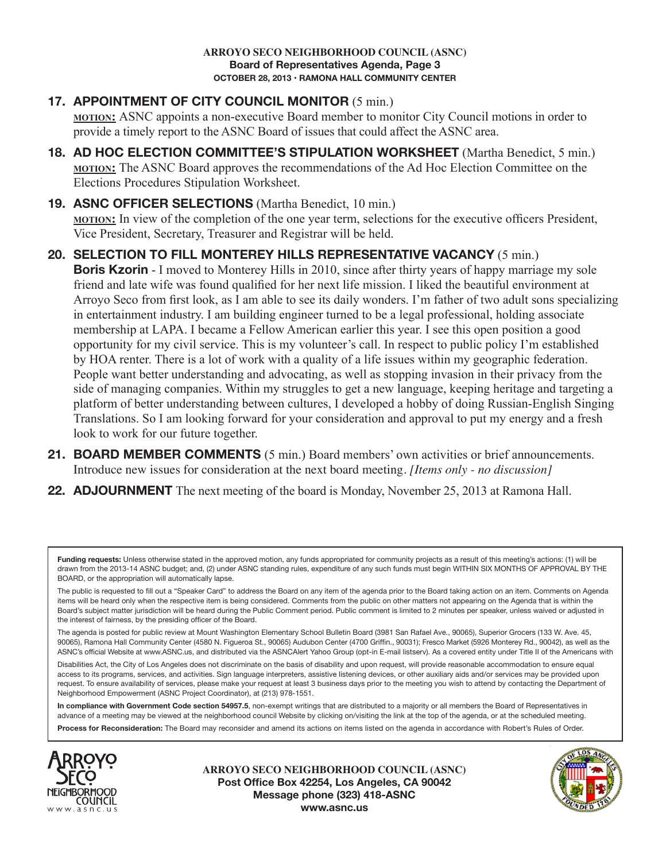## **17. APPOINTMENT OF CITY COUNCIL MONITOR** (5 min.)

**motion:** ASNC appoints a non-executive Board member to monitor City Council motions in order to provide a timely report to the ASNC Board of issues that could affect the ASNC area.

**18. AD HOC ELECTION COMMITTEE'S STIPULATION WORKSHEET** (Martha Benedict, 5 min.) **motion:** The ASNC Board approves the recommendations of the Ad Hoc Election Committee on the Elections Procedures Stipulation Worksheet.

### **19. ASNC OFFICER SELECTIONS** (Martha Benedict, 10 min.) **motion:** In view of the completion of the one year term, selections for the executive officers President, Vice President, Secretary, Treasurer and Registrar will be held.

### **20. SELECTION TO FILL MONTEREY HILLS REPRESENTATIVE VACANCY** (5 min.) **Boris Kzorin** - I moved to Monterey Hills in 2010, since after thirty years of happy marriage my sole friend and late wife was found qualified for her next life mission. I liked the beautiful environment at Arroyo Seco from first look, as I am able to see its daily wonders. I'm father of two adult sons specializing in entertainment industry. I am building engineer turned to be a legal professional, holding associate membership at LAPA. I became a Fellow American earlier this year. I see this open position a good opportunity for my civil service. This is my volunteer's call. In respect to public policy I'm established by HOA renter. There is a lot of work with a quality of a life issues within my geographic federation. People want better understanding and advocating, as well as stopping invasion in their privacy from the side of managing companies. Within my struggles to get a new language, keeping heritage and targeting a platform of better understanding between cultures, I developed a hobby of doing Russian-English Singing Translations. So I am looking forward for your consideration and approval to put my energy and a fresh look to work for our future together.

- **21. BOARD MEMBER COMMENTS** (5 min.) Board members' own activities or brief announcements. Introduce new issues for consideration at the next board meeting. *[Items only - no discussion]*
- **22. ADJOURNMENT** The next meeting of the board is Monday, November 25, 2013 at Ramona Hall.

The public is requested to fill out a "Speaker Card" to address the Board on any item of the agenda prior to the Board taking action on an item. Comments on Agenda items will be heard only when the respective item is being considered. Comments from the public on other matters not appearing on the Agenda that is within the Board's subject matter jurisdiction will be heard during the Public Comment period. Public comment is limited to 2 minutes per speaker, unless waived or adjusted in the interest of fairness, by the presiding officer of the Board.

The agenda is posted for public review at Mount Washington Elementary School Bulletin Board (3981 San Rafael Ave., 90065), Superior Grocers (133 W. Ave. 45, 90065), Ramona Hall Community Center (4580 N. Figueroa St., 90065) Audubon Center (4700 Griffin., 90031); Fresco Market (5926 Monterey Rd., 90042), as well as the ASNC's official Website at www.ASNC.us, and distributed via the ASNCAlert Yahoo Group (opt-in E-mail listserv). As a covered entity under Title II of the Americans with

Disabilities Act, the City of Los Angeles does not discriminate on the basis of disability and upon request, will provide reasonable accommodation to ensure equal access to its programs, services, and activities. Sign language interpreters, assistive listening devices, or other auxiliary aids and/or services may be provided upon request. To ensure availability of services, please make your request at least 3 business days prior to the meeting you wish to attend by contacting the Department of Neighborhood Empowerment (ASNC Project Coordinator), at (213) 978-1551.

**In compliance with Government Code section 54957.5**, non-exempt writings that are distributed to a majority or all members the Board of Representatives in advance of a meeting may be viewed at the neighborhood council Website by clicking on/visiting the link at the top of the agenda, or at the scheduled meeting. **Process for Reconsideration:** The Board may reconsider and amend its actions on items listed on the agenda in accordance with Robert's Rules of Order.



**ARROYO SECO NEIGHBORHOOD COUNCIL (ASNC) Post Office Box 42254, Los Angeles, CA 90042 Message phone (323) 418-ASNC www.asnc.us**



Funding requests: Unless otherwise stated in the approved motion, any funds appropriated for community projects as a result of this meeting's actions: (1) will be drawn from the 2013-14 ASNC budget; and, (2) under ASNC standing rules, expenditure of any such funds must begin WITHIN SIX MONTHS OF APPROVAL BY THE BOARD, or the appropriation will automatically lapse.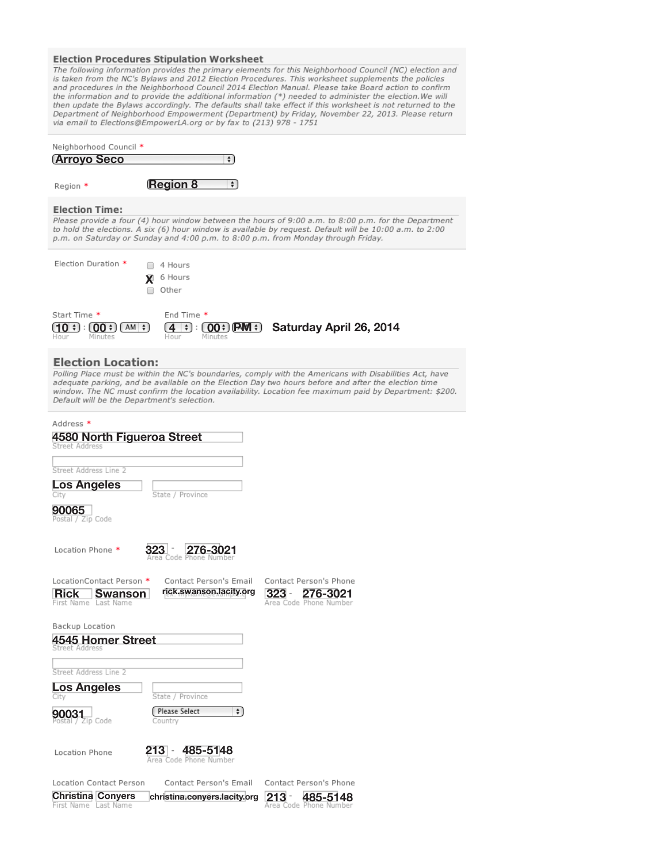#### **Election Procedures Stipulation Worksheet**

**EIECTION PROCEDURES STIPULATION WORKSHEET**<br>The following information provides the primary elements for this Neighborhood Council (NC) election and<br>is taken from the NC's Bylaws and 2012 Election Procedures. This workshee

|                                             | Neighborhood Council *                     |                                                                           |                                                                                                                                                                                                                                                                                                                          |
|---------------------------------------------|--------------------------------------------|---------------------------------------------------------------------------|--------------------------------------------------------------------------------------------------------------------------------------------------------------------------------------------------------------------------------------------------------------------------------------------------------------------------|
| <u>(Arroyo Seco</u>                         |                                            | $\div$                                                                    |                                                                                                                                                                                                                                                                                                                          |
| Region *                                    |                                            | <b>Region 8</b><br>÷)                                                     |                                                                                                                                                                                                                                                                                                                          |
| <b>Election Time:</b>                       |                                            |                                                                           |                                                                                                                                                                                                                                                                                                                          |
|                                             |                                            |                                                                           | Please provide a four (4) hour window between the hours of 9:00 a.m. to 8:00 p.m. for the Department<br>to hold the elections. A six (6) hour window is available by request. Default will be 10:00 a.m. to 2:00<br>p.m. on Saturday or Sunday and 4:00 p.m. to 8:00 p.m. from Monday through Friday.                    |
| Election Duration *                         |                                            | 4 Hours<br>6 Hours                                                        |                                                                                                                                                                                                                                                                                                                          |
|                                             |                                            | <b>X</b><br>Other                                                         |                                                                                                                                                                                                                                                                                                                          |
| Start Time *<br>(10:<br>÷<br>Hour           | $(00 \div 1)$<br>$AM \div$<br>Minutes      | End Time *<br>$\div$<br>$(00*)$ (PM $\div$ )<br>4<br>÷<br>Hour<br>Minutes | Saturday April 26, 2014                                                                                                                                                                                                                                                                                                  |
|                                             | <b>Election Location:</b>                  |                                                                           |                                                                                                                                                                                                                                                                                                                          |
|                                             |                                            | Default will be the Department's selection.                               | Polling Place must be within the NC's boundaries, comply with the Americans with Disabilities Act, have<br>adequate parking, and be available on the Election Day two hours before and after the election time<br>window. The NC must confirm the location availability. Location fee maximum paid by Department: \$200. |
| Address *                                   |                                            |                                                                           |                                                                                                                                                                                                                                                                                                                          |
| Street Address                              |                                            | 4580 North Figueroa Street                                                |                                                                                                                                                                                                                                                                                                                          |
|                                             |                                            |                                                                           |                                                                                                                                                                                                                                                                                                                          |
| Street Address Line 2<br><b>Los Angeles</b> |                                            |                                                                           |                                                                                                                                                                                                                                                                                                                          |
| City                                        |                                            | State / Province                                                          |                                                                                                                                                                                                                                                                                                                          |
| 90065<br>Postal / Zip Code                  |                                            |                                                                           |                                                                                                                                                                                                                                                                                                                          |
| Location Phone *                            |                                            | 276-3021<br>Area Code Phone Number                                        |                                                                                                                                                                                                                                                                                                                          |
| <b>Rick</b><br>First Name Last Name         | LocationContact Person *<br><b>Swanson</b> | Contact Person's Email<br>rick.swanson.lacity.org                         | Contact Person's Phone<br>$323 -$<br>276-3021<br>Area Code Phone Number                                                                                                                                                                                                                                                  |
| Backup Location                             |                                            |                                                                           |                                                                                                                                                                                                                                                                                                                          |
|                                             | <b>4545 Homer Street</b>                   |                                                                           |                                                                                                                                                                                                                                                                                                                          |
| Street Address Line 2                       |                                            |                                                                           |                                                                                                                                                                                                                                                                                                                          |
| <b>Los Angeles</b><br>City                  |                                            | State / Province                                                          |                                                                                                                                                                                                                                                                                                                          |
| 90031<br>ostal / Zip Code                   |                                            | Please Select<br>÷۱<br>Country                                            |                                                                                                                                                                                                                                                                                                                          |
| Location Phone                              |                                            | 213 - 485-5148<br>Area Code Phone Number                                  |                                                                                                                                                                                                                                                                                                                          |
|                                             | Location Contact Person                    | Contact Person's Email                                                    | Contact Person's Phone                                                                                                                                                                                                                                                                                                   |
| First Name Last Name                        | <b>Christina Conyers</b>                   | christina.conyers.lacity.org                                              | 213<br>485-5148<br>Area Code Phone Number                                                                                                                                                                                                                                                                                |